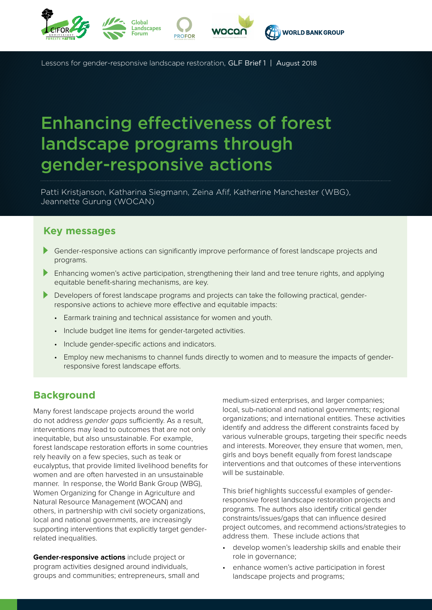

Lessons for gender-responsive landscape restoration, GLF Brief 1 | August 2018

# Enhancing effectiveness of forest landscape programs through gender-responsive actions

Patti Kristjanson, Katharina Siegmann, Zeina Afif, Katherine Manchester (WBG), Jeannette Gurung (WOCAN)

#### **Key messages**

- Gender-responsive actions can significantly improve performance of forest landscape projects and programs.
- **Enhancing women's active participation, strengthening their land and tree tenure rights, and applying** equitable benefit-sharing mechanisms, are key.
- Þ Developers of forest landscape programs and projects can take the following practical, genderresponsive actions to achieve more effective and equitable impacts:
	- Earmark training and technical assistance for women and youth.
	- Include budget line items for gender-targeted activities.
	- Include gender-specific actions and indicators.
	- • Employ new mechanisms to channel funds directly to women and to measure the impacts of genderresponsive forest landscape efforts.

# **Background**

Many forest landscape projects around the world do not address gender gaps sufficiently. As a result, interventions may lead to outcomes that are not only inequitable, but also unsustainable. For example, forest landscape restoration efforts in some countries rely heavily on a few species, such as teak or eucalyptus, that provide limited livelihood benefits for women and are often harvested in an unsustainable manner. In response, the World Bank Group (WBG), Women Organizing for Change in Agriculture and Natural Resource Management (WOCAN) and others, in partnership with civil society organizations, local and national governments, are increasingly supporting interventions that explicitly target genderrelated inequalities.

**Gender-responsive actions** include project or program activities designed around individuals, groups and communities; entrepreneurs, small and

medium-sized enterprises, and larger companies; local, sub-national and national governments; regional organizations; and international entities. These activities identify and address the different constraints faced by various vulnerable groups, targeting their specific needs and interests. Moreover, they ensure that women, men, girls and boys benefit equally from forest landscape interventions and that outcomes of these interventions will be sustainable.

This brief highlights successful examples of genderresponsive forest landscape restoration projects and programs. The authors also identify critical gender constraints/issues/gaps that can influence desired project outcomes, and recommend actions/strategies to address them. These include actions that

- develop women's leadership skills and enable their role in governance;
- enhance women's active participation in forest landscape projects and programs;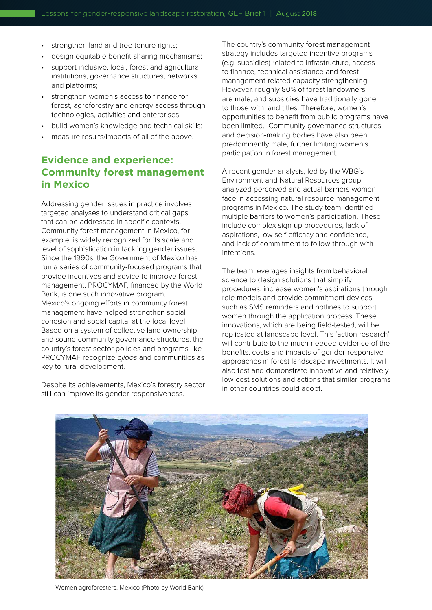- strengthen land and tree tenure rights;
- design equitable benefit-sharing mechanisms;
- support inclusive, local, forest and agricultural institutions, governance structures, networks and platforms;
- strengthen women's access to finance for forest, agroforestry and energy access through technologies, activities and enterprises;
- build women's knowledge and technical skills;
- measure results/impacts of all of the above.

## **Evidence and experience: Community forest management in Mexico**

Addressing gender issues in practice involves targeted analyses to understand critical gaps that can be addressed in specific contexts. Community forest management in Mexico, for example, is widely recognized for its scale and level of sophistication in tackling gender issues. Since the 1990s, the Government of Mexico has run a series of community-focused programs that provide incentives and advice to improve forest management. PROCYMAF, financed by the World Bank, is one such innovative program. Mexico's ongoing efforts in community forest management have helped strengthen social cohesion and social capital at the local level. Based on a system of collective land ownership and sound community governance structures, the country's forest sector policies and programs like PROCYMAF recognize ejidos and communities as key to rural development.

Despite its achievements, Mexico's forestry sector still can improve its gender responsiveness.

The country's community forest management strategy includes targeted incentive programs (e.g. subsidies) related to infrastructure, access to finance, technical assistance and forest management-related capacity strengthening. However, roughly 80% of forest landowners are male, and subsidies have traditionally gone to those with land titles. Therefore, women's opportunities to benefit from public programs have been limited. Community governance structures and decision-making bodies have also been predominantly male, further limiting women's participation in forest management.

A recent gender analysis, led by the WBG's Environment and Natural Resources group, analyzed perceived and actual barriers women face in accessing natural resource management programs in Mexico. The study team identified multiple barriers to women's participation. These include complex sign-up procedures, lack of aspirations, low self-efficacy and confidence, and lack of commitment to follow-through with intentions.

The team leverages insights from behavioral science to design solutions that simplify procedures, increase women's aspirations through role models and provide commitment devices such as SMS reminders and hotlines to support women through the application process. These innovations, which are being field-tested, will be replicated at landscape level. This 'action research' will contribute to the much-needed evidence of the benefits, costs and impacts of gender-responsive approaches in forest landscape investments. It will also test and demonstrate innovative and relatively low-cost solutions and actions that similar programs in other countries could adopt.



Women agroforesters, Mexico (Photo by World Bank)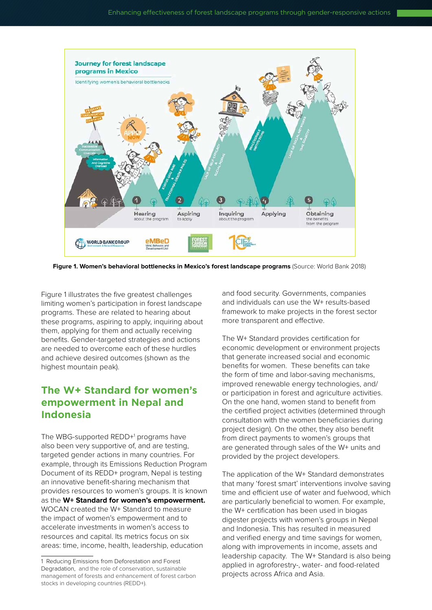

**Figure 1. Women's behavioral bottlenecks in Mexico's forest landscape programs** (Source: World Bank 2018)

Figure 1 illustrates the five greatest challenges limiting women's participation in forest landscape programs. These are related to hearing about these programs, aspiring to apply, inquiring about them, applying for them and actually receiving benefits. Gender-targeted strategies and actions are needed to overcome each of these hurdles and achieve desired outcomes (shown as the highest mountain peak).

# **The W+ Standard for women's empowerment in Nepal and Indonesia**

The WBG-supported REDD+1 programs have also been very supportive of, and are testing, targeted gender actions in many countries. For example, through its Emissions Reduction Program Document of its REDD+ program, Nepal is testing an innovative benefit-sharing mechanism that provides resources to women's groups. It is known as the **W+ Standard for women's empowerment.** WOCAN created the W+ Standard to measure the impact of women's empowerment and to accelerate investments in women's access to resources and capital. Its metrics focus on six areas: time, income, health, leadership, education

and food security. Governments, companies and individuals can use the W+ results-based framework to make projects in the forest sector more transparent and effective.

The W+ Standard provides certification for economic development or environment projects that generate increased social and economic benefits for women. These benefits can take the form of time and labor-saving mechanisms, improved renewable energy technologies, and/ or participation in forest and agriculture activities. On the one hand, women stand to benefit from the certified project activities (determined through consultation with the women beneficiaries during project design). On the other, they also benefit from direct payments to women's groups that are generated through sales of the W+ units and provided by the project developers.

The application of the W+ Standard demonstrates that many 'forest smart' interventions involve saving time and efficient use of water and fuelwood, which are particularly beneficial to women. For example, the W+ certification has been used in biogas digester projects with women's groups in Nepal and Indonesia. This has resulted in measured and verified energy and time savings for women, along with improvements in income, assets and leadership capacity. The W+ Standard is also being applied in agroforestry-, water- and food-related projects across Africa and Asia.

<sup>1</sup> Reducing Emissions from Deforestation and Forest Degradation, and the role of conservation, sustainable management of forests and enhancement of forest carbon stocks in developing countries (REDD+).